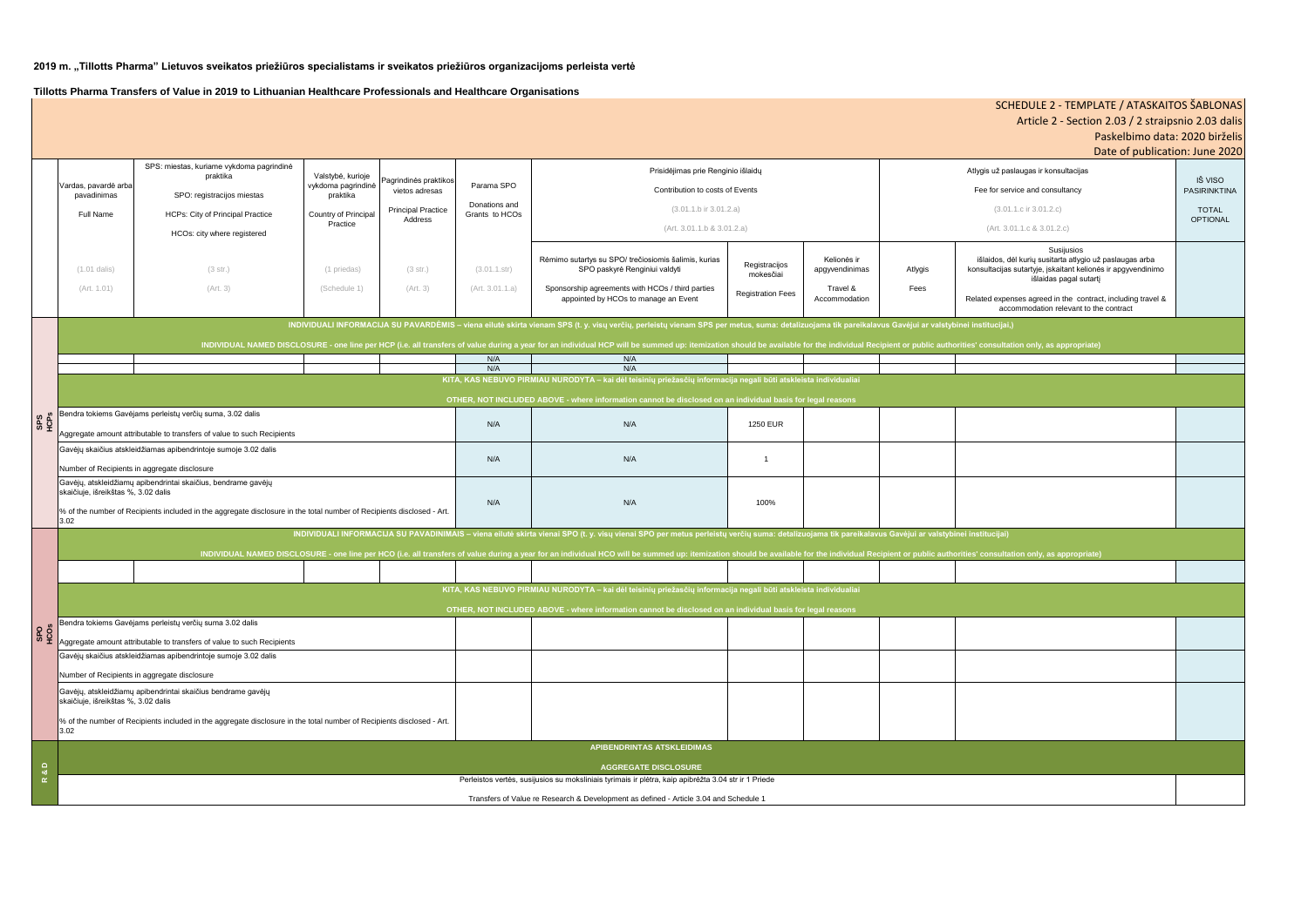## **2019 m. "Tillotts Pharma" Lietuvos sveikatos priežiūros specialistams ir sveikatos priežiūros organizacijoms perleista vertė**

**Tillotts Pharma Transfers of Value in 2019 to Lithuanian Healthcare Professionals and Healthcare Organisations**

| Atlygis už paslaugas ir konsultacijas<br>Fee for service and consultancy<br>$(3.01.1.c$ ir $3.01.2.c)$<br>(Art. 3.01.1.c & 3.01.2.c)<br>Susijusios<br>išlaidos, dėl kurių susitarta atlygio už paslaugas arba<br>konsultacijas sutartyje, įskaitant kelionės ir apgyvendinimo<br>išlaidas pagal sutartį<br>Related expenses agreed in the contract, including travel &<br>accommodation relevant to the contract<br>ei institucijai,)<br>ies' consultation only, as appropriate) | IŠ VISO<br><b>PASIRINKTINA</b><br><b>TOTAL</b><br><b>OPTIONAL</b> |
|----------------------------------------------------------------------------------------------------------------------------------------------------------------------------------------------------------------------------------------------------------------------------------------------------------------------------------------------------------------------------------------------------------------------------------------------------------------------------------|-------------------------------------------------------------------|
|                                                                                                                                                                                                                                                                                                                                                                                                                                                                                  |                                                                   |
|                                                                                                                                                                                                                                                                                                                                                                                                                                                                                  |                                                                   |
|                                                                                                                                                                                                                                                                                                                                                                                                                                                                                  |                                                                   |
|                                                                                                                                                                                                                                                                                                                                                                                                                                                                                  |                                                                   |
|                                                                                                                                                                                                                                                                                                                                                                                                                                                                                  |                                                                   |
| i institucijai)<br>ies' consultation only, as appropriate)                                                                                                                                                                                                                                                                                                                                                                                                                       |                                                                   |
|                                                                                                                                                                                                                                                                                                                                                                                                                                                                                  |                                                                   |
|                                                                                                                                                                                                                                                                                                                                                                                                                                                                                  |                                                                   |
|                                                                                                                                                                                                                                                                                                                                                                                                                                                                                  |                                                                   |
|                                                                                                                                                                                                                                                                                                                                                                                                                                                                                  |                                                                   |
|                                                                                                                                                                                                                                                                                                                                                                                                                                                                                  |                                                                   |
|                                                                                                                                                                                                                                                                                                                                                                                                                                                                                  |                                                                   |
|                                                                                                                                                                                                                                                                                                                                                                                                                                                                                  |                                                                   |

|                                  |                                                                                                                                                                                                                                | SPS: miestas, kuriame vykdoma pagrindinė<br>praktika                                                 | Valstybė, kurioje              |                                         |                                 | Prisidėjimas prie Renginio išlaidų                                                                                                                                                                    |                            |                               |                            | Atlygis už paslaugas ir konsultacijas                                                                            |  |
|----------------------------------|--------------------------------------------------------------------------------------------------------------------------------------------------------------------------------------------------------------------------------|------------------------------------------------------------------------------------------------------|--------------------------------|-----------------------------------------|---------------------------------|-------------------------------------------------------------------------------------------------------------------------------------------------------------------------------------------------------|----------------------------|-------------------------------|----------------------------|------------------------------------------------------------------------------------------------------------------|--|
|                                  | Vardas, pavardė arba <br>pavadinimas                                                                                                                                                                                           | SPO: registracijos miestas                                                                           | vykdoma pagrindinė<br>praktika | Pagrindinės praktikos<br>vietos adresas | Parama SPO                      | Contribution to costs of Events                                                                                                                                                                       |                            |                               |                            | Fee for service and consultancy                                                                                  |  |
|                                  | Full Name                                                                                                                                                                                                                      |                                                                                                      | <b>Principal Practice</b>      |                                         | Donations and<br>Grants to HCOs | $(3.01.1.b)$ ir $3.01.2.a)$                                                                                                                                                                           |                            |                               |                            | $(3.01.1.c$ ir $3.01.2.c)$                                                                                       |  |
|                                  | <b>HCPs: City of Principal Practice</b><br>Country of Principal<br>Address<br>Practice                                                                                                                                         |                                                                                                      |                                |                                         | (Art. 3.01.1.b & 3.01.2.a)      |                                                                                                                                                                                                       |                            |                               | (Art. 3.01.1.c & 3.01.2.c) |                                                                                                                  |  |
|                                  | HCOs: city where registered                                                                                                                                                                                                    |                                                                                                      |                                |                                         |                                 |                                                                                                                                                                                                       |                            |                               |                            | Susijusios                                                                                                       |  |
|                                  | $(1.01$ dalis)                                                                                                                                                                                                                 | (3 str.)                                                                                             | (1 priedas)                    | (3 str.)                                | (3.01.1.str)                    | Rėmimo sutartys su SPO/ trečiosiomis šalimis, kurias<br>SPO paskyrė Renginiui valdyti                                                                                                                 | Registracijos<br>mokesčiai | Kelionės ir<br>apgyvendinimas | Atlygis                    | išlaidos, dėl kurių susitarta atlygio už<br>konsultacijas sutartyje, įskaitant kelionė<br>išlaidas pagal sutartį |  |
|                                  | (Art. 1.01)                                                                                                                                                                                                                    | (Art. 3)                                                                                             | (Schedule 1)                   | (Art. 3)                                | (Art. 3.01.1.a)                 | Sponsorship agreements with HCOs / third parties<br>appointed by HCOs to manage an Event                                                                                                              | <b>Registration Fees</b>   | Travel &<br>Accommodation     | Fees                       | Related expenses agreed in the contract<br>accommodation relevant to the                                         |  |
|                                  |                                                                                                                                                                                                                                |                                                                                                      |                                |                                         |                                 | INDIVIDUALI INFORMACIJA SU PAVARDĖMIS - viena eilutė skirta vienam SPS (t. y. visų verčių, perleistų vienam SPS per metus, suma: detalizuojama tik pareikalavus Gavėjui ar valstybinei institucijai,) |                            |                               |                            |                                                                                                                  |  |
|                                  | INDIVIDUAL NAMED DISCLOSURE - one line per HCP (i.e. all transfers of value during a year for an individual HCP will be summed up: itemization should be available for the individual Recipient or public authorities' consult |                                                                                                      |                                |                                         |                                 |                                                                                                                                                                                                       |                            |                               |                            |                                                                                                                  |  |
|                                  |                                                                                                                                                                                                                                |                                                                                                      |                                |                                         | N/A                             | N/A                                                                                                                                                                                                   |                            |                               |                            |                                                                                                                  |  |
|                                  |                                                                                                                                                                                                                                |                                                                                                      |                                |                                         | N/A                             | N/A                                                                                                                                                                                                   |                            |                               |                            |                                                                                                                  |  |
|                                  | KITA, KAS NEBUVO PIRMIAU NURODYTA - kai dėl teisinių priežasčių informacija negali būti atskleista individualiai                                                                                                               |                                                                                                      |                                |                                         |                                 |                                                                                                                                                                                                       |                            |                               |                            |                                                                                                                  |  |
|                                  | OTHER, NOT INCLUDED ABOVE - where information cannot be disclosed on an individual basis for legal reasons<br>Bendra tokiems Gavėjams perleistų verčių suma, 3.02 dalis                                                        |                                                                                                      |                                |                                         |                                 |                                                                                                                                                                                                       |                            |                               |                            |                                                                                                                  |  |
| <b>SPS</b><br>HCPS               | Aggregate amount attributable to transfers of value to such Recipients                                                                                                                                                         |                                                                                                      |                                | N/A                                     | N/A                             | <b>1250 EUR</b>                                                                                                                                                                                       |                            |                               |                            |                                                                                                                  |  |
|                                  | Gavėjų skaičius atskleidžiamas apibendrintoje sumoje 3.02 dalis                                                                                                                                                                |                                                                                                      |                                |                                         |                                 |                                                                                                                                                                                                       |                            |                               |                            |                                                                                                                  |  |
|                                  | Number of Recipients in aggregate disclosure                                                                                                                                                                                   |                                                                                                      |                                |                                         | N/A                             | N/A                                                                                                                                                                                                   | 1                          |                               |                            |                                                                                                                  |  |
|                                  | Gavėjų, atskleidžiamų apibendrintai skaičius, bendrame gavėjų                                                                                                                                                                  |                                                                                                      |                                |                                         |                                 |                                                                                                                                                                                                       |                            |                               |                            |                                                                                                                  |  |
|                                  | skaičiuje, išreikštas %, 3.02 dalis                                                                                                                                                                                            |                                                                                                      |                                | N/A                                     | N/A                             | 100%                                                                                                                                                                                                  |                            |                               |                            |                                                                                                                  |  |
|                                  | % of the number of Recipients included in the aggregate disclosure in the total number of Recipients disclosed - Art.<br>3.02                                                                                                  |                                                                                                      |                                |                                         |                                 |                                                                                                                                                                                                       |                            |                               |                            |                                                                                                                  |  |
|                                  | INDIVIDUALI INFORMACIJA SU PAVADINIMAIS - viena eilutė skirta vienai SPO (t. y. visų vienai SPO per metus perleistų verčių suma: detalizuojama tik pareikalavus Gavėjui ar valstybinei institucijai)                           |                                                                                                      |                                |                                         |                                 |                                                                                                                                                                                                       |                            |                               |                            |                                                                                                                  |  |
|                                  | INDIVIDUAL NAMED DISCLOSURE - one line per HCO (i.e. all transfers of value during a year for an individual HCO will be summed up: itemization should be available for the individual Recipient or public authorities' consult |                                                                                                      |                                |                                         |                                 |                                                                                                                                                                                                       |                            |                               |                            |                                                                                                                  |  |
|                                  |                                                                                                                                                                                                                                |                                                                                                      |                                |                                         |                                 |                                                                                                                                                                                                       |                            |                               |                            |                                                                                                                  |  |
|                                  | KITA, KAS NEBUVO PIRMIAU NURODYTA - kai dėl teisinių priežasčių informacija negali būti atskleista individualiai                                                                                                               |                                                                                                      |                                |                                         |                                 |                                                                                                                                                                                                       |                            |                               |                            |                                                                                                                  |  |
|                                  | OTHER, NOT INCLUDED ABOVE - where information cannot be disclosed on an individual basis for legal reasons                                                                                                                     |                                                                                                      |                                |                                         |                                 |                                                                                                                                                                                                       |                            |                               |                            |                                                                                                                  |  |
| ၀ ဂီ                             | Bendra tokiems Gavėjams perleistų verčių suma 3.02 dalis                                                                                                                                                                       |                                                                                                      |                                |                                         |                                 |                                                                                                                                                                                                       |                            |                               |                            |                                                                                                                  |  |
| 유 도                              | Aggregate amount attributable to transfers of value to such Recipients                                                                                                                                                         |                                                                                                      |                                |                                         |                                 |                                                                                                                                                                                                       |                            |                               |                            |                                                                                                                  |  |
|                                  | Gavėjų skaičius atskleidžiamas apibendrintoje sumoje 3.02 dalis                                                                                                                                                                |                                                                                                      |                                |                                         |                                 |                                                                                                                                                                                                       |                            |                               |                            |                                                                                                                  |  |
|                                  | Number of Recipients in aggregate disclosure                                                                                                                                                                                   |                                                                                                      |                                |                                         |                                 |                                                                                                                                                                                                       |                            |                               |                            |                                                                                                                  |  |
|                                  | Gavėjų, atskleidžiamų apibendrintai skaičius bendrame gavėjų<br>skaičiuje, išreikštas %, 3.02 dalis                                                                                                                            |                                                                                                      |                                |                                         |                                 |                                                                                                                                                                                                       |                            |                               |                            |                                                                                                                  |  |
|                                  | % of the number of Recipients included in the aggregate disclosure in the total number of Recipients disclosed - Art.<br>3.02                                                                                                  |                                                                                                      |                                |                                         |                                 |                                                                                                                                                                                                       |                            |                               |                            |                                                                                                                  |  |
|                                  | APIBENDRINTAS ATSKLEIDIMAS                                                                                                                                                                                                     |                                                                                                      |                                |                                         |                                 |                                                                                                                                                                                                       |                            |                               |                            |                                                                                                                  |  |
| $\circ$<br>$\bullet\!\!\!\sigma$ |                                                                                                                                                                                                                                | <b>AGGREGATE DISCLOSURE</b>                                                                          |                                |                                         |                                 |                                                                                                                                                                                                       |                            |                               |                            |                                                                                                                  |  |
|                                  |                                                                                                                                                                                                                                | Perleistos vertės, susijusios su moksliniais tyrimais ir plėtra, kaip apibrėžta 3.04 str ir 1 Priede |                                |                                         |                                 |                                                                                                                                                                                                       |                            |                               |                            |                                                                                                                  |  |
|                                  | Transfers of Value re Research & Development as defined - Article 3.04 and Schedule 1                                                                                                                                          |                                                                                                      |                                |                                         |                                 |                                                                                                                                                                                                       |                            |                               |                            |                                                                                                                  |  |

# SCHEDULE 2 - TEMPLATE / ATASKAITOS ŠABLONAS Article 2 - Section 2.03 / 2 straipsnio 2.03 dalis Paskelbimo data: 2020 birželis Date of publication: June 2020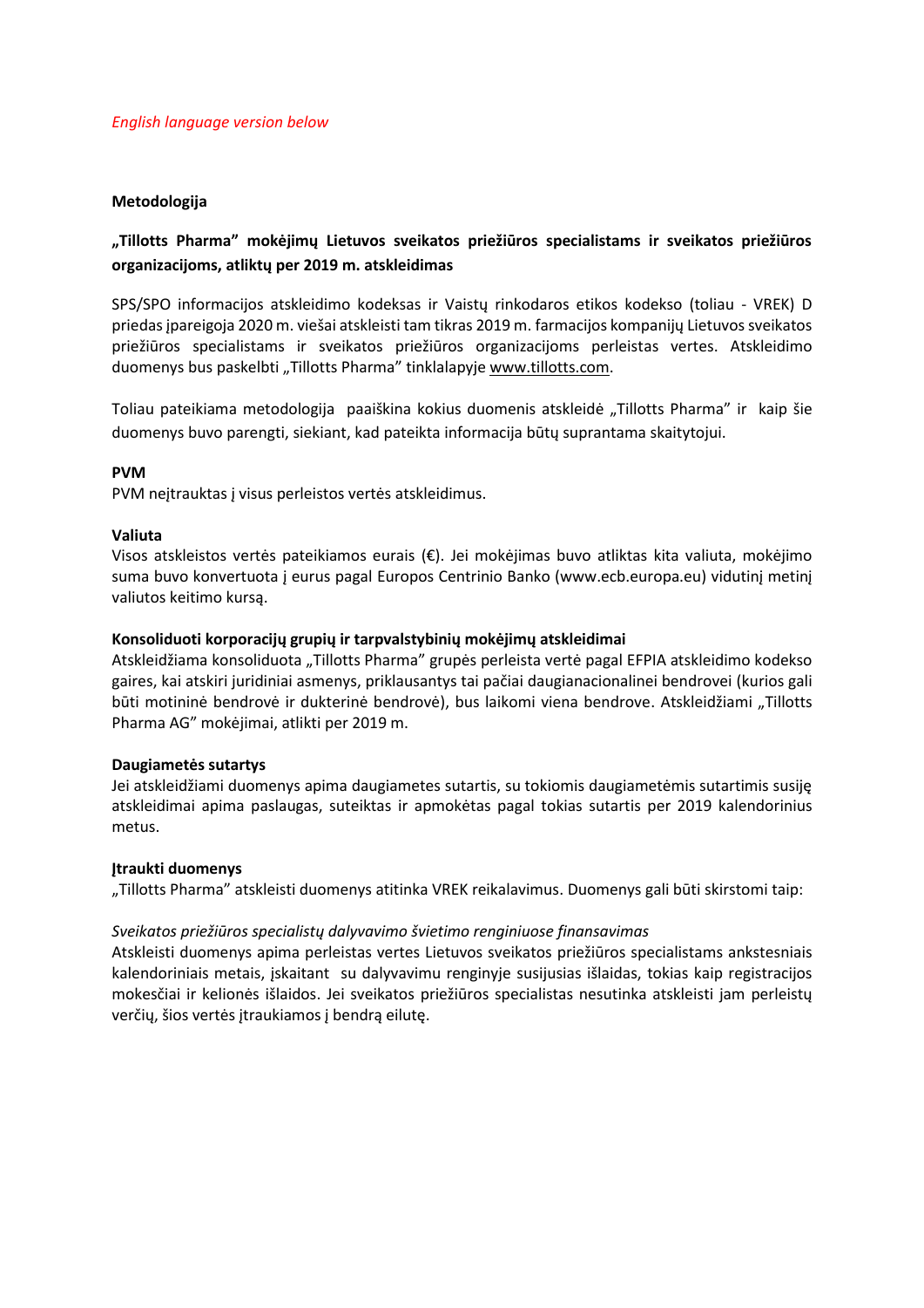## **Metodologija**

## **"Tillotts Pharma" mokėjimų Lietuvos sveikatos priežiūros specialistams ir sveikatos priežiūros organizacijoms, atliktų per 2019 m. atskleidimas**

SPS/SPO informacijos atskleidimo kodeksas ir Vaistų rinkodaros etikos kodekso (toliau - VREK) D priedas įpareigoja 2020 m. viešai atskleisti tam tikras 2019 m. farmacijos kompanijų Lietuvos sveikatos priežiūros specialistams ir sveikatos priežiūros organizacijoms perleistas vertes. Atskleidimo duomenys bus paskelbti "Tillotts Pharma" tinklalapyje [www.tillotts.com.](http://www.tillotts.com/)

Toliau pateikiama metodologija paaiškina kokius duomenis atskleidė "Tillotts Pharma" ir kaip šie duomenys buvo parengti, siekiant, kad pateikta informacija būtų suprantama skaitytojui.

#### **PVM**

PVM neįtrauktas į visus perleistos vertės atskleidimus.

#### **Valiuta**

Visos atskleistos vertės pateikiamos eurais (€). Jei mokėjimas buvo atliktas kita valiuta, mokėjimo suma buvo konvertuota į eurus pagal Europos Centrinio Banko [\(www.ecb.europa.eu\)](http://www.ecb.europa.eu/) vidutinį metinį valiutos keitimo kursą.

## **Konsoliduoti korporacijų grupių ir tarpvalstybinių mokėjimų atskleidimai**

Atskleidžiama konsoliduota "Tillotts Pharma" grupės perleista vertė pagal EFPIA atskleidimo kodekso gaires, kai atskiri juridiniai asmenys, priklausantys tai pačiai daugianacionalinei bendrovei (kurios gali būti motininė bendrovė ir dukterinė bendrovė), bus laikomi viena bendrove. Atskleidžiami "Tillotts Pharma AG" mokėjimai, atlikti per 2019 m.

#### **Daugiametės sutartys**

Jei atskleidžiami duomenys apima daugiametes sutartis, su tokiomis daugiametėmis sutartimis susiję atskleidimai apima paslaugas, suteiktas ir apmokėtas pagal tokias sutartis per 2019 kalendorinius metus.

#### **Įtraukti duomenys**

"Tillotts Pharma" atskleisti duomenys atitinka VREK reikalavimus. Duomenys gali būti skirstomi taip:

#### *Sveikatos priežiūros specialistų dalyvavimo švietimo renginiuose finansavimas*

Atskleisti duomenys apima perleistas vertes Lietuvos sveikatos priežiūros specialistams ankstesniais kalendoriniais metais, įskaitant su dalyvavimu renginyje susijusias išlaidas, tokias kaip registracijos mokesčiai ir kelionės išlaidos. Jei sveikatos priežiūros specialistas nesutinka atskleisti jam perleistų verčių, šios vertės įtraukiamos į bendrą eilutę.